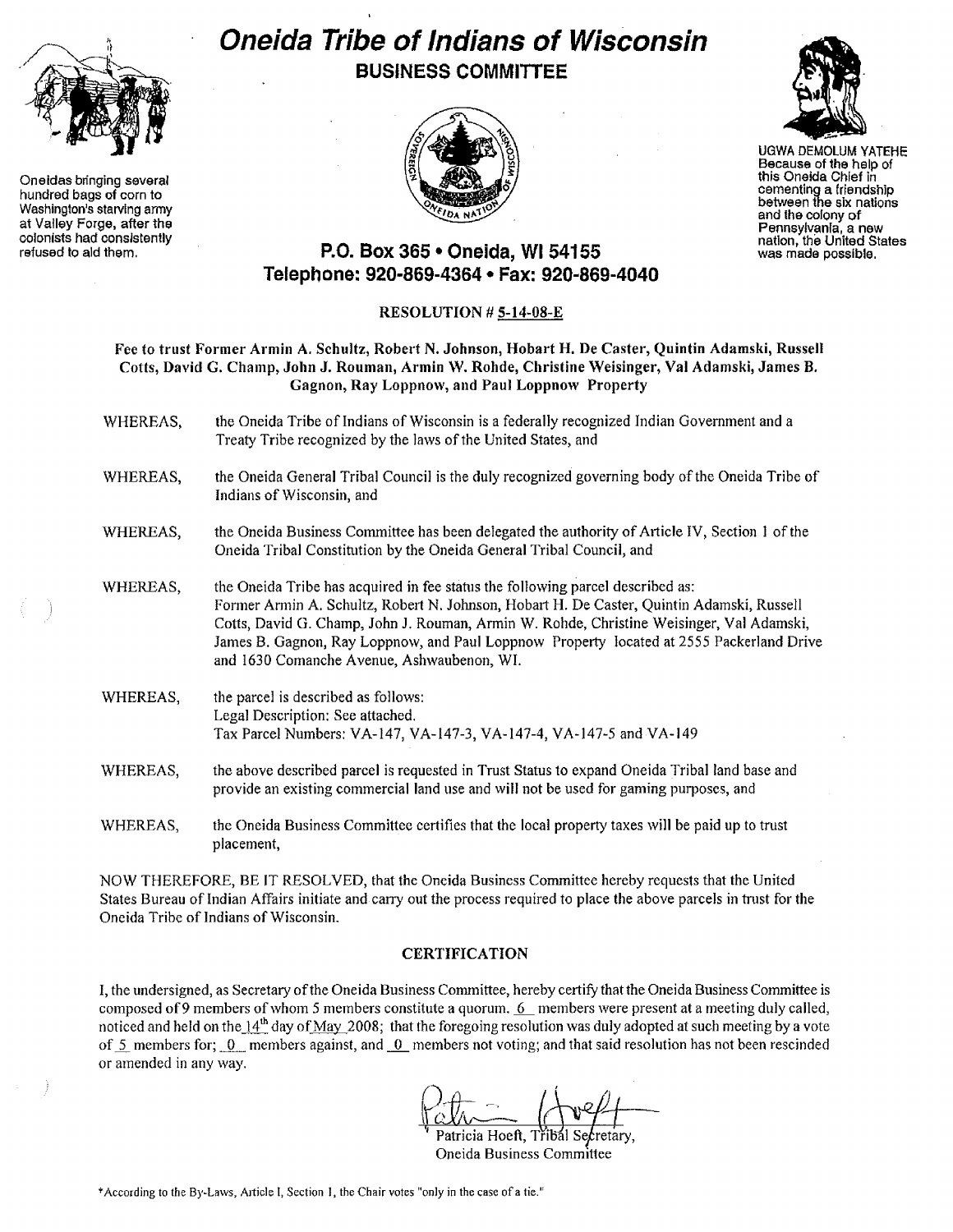

Oneidas bringing several hundred bags of corn to Washington's starving army at Valley Forge, after the colonists had conslslently refused to aid them.

# **Oneida Tribe of Indians of Wisconsin BUSINESS COMMITTEE**





UGWA DEMOLUM YATEHE Because of the help of this Oneida Chief in cementing a friendship between the six nations and the colony of Pennsylvania, a new natlon, the United States was made possible.

# **P.O. Box 365· Oneida,** WI 54155 **Telephone: 920-869-4364. Fax: 920-869-4040**

## RESOLUTION # 5-14-08~E

Fee to trust Former Armin A. Schultz, Robert N. Johnson, Hobart H. De Caster, Quintin Adamski, Russell Colts, David G. Champ, John J. Rouman, Armin W. Rohde, Christine Weisinger, Val Adamski, James B. Gagnon, Ray Loppnow, and Paul Loppnow Property

- WHEREAS, the Oneida Tribe of Indians of Wisconsin is a federally recognized Indian Government and a Treaty Tribe recognized by the laws of the United States, and
- WHEREAS, the Oneida General Tribal Council is the duly recognized governing body ofthe Oneida Tribe of Indians of Wisconsin, and
- WHEREAS, the Oneida Business Committee has been delegated the authority of Article IV, Section 1 of the Oneida Tribal Constitution by the Oneida General Tribal Council, and
- WHEREAS, the Oneida Tribe has acquired in fee status the following parcel described as: Former Annin A. Schultz, Robert N. Johnson, Hobart H. De Caster, Quintin Adamski, Russell Cotts, David G. Champ, John J. Rouman, Armin W. Rohde, Christine Weisinger, Yal Adamski, James B. Gagnon, Ray Loppnow, and Paul Loppnow Property located at 2555 Packerland Drive and 1630 Comanche Avenue, Ashwaubenon, WI.
- WHEREAS, the parcel is described as follows: Legal Description: See attached. Tax Parcel Numbers: VA-147, VA-147-3, VA-147-4, VA-147-5 and VA-149
- WHEREAS, the above described parcel is requested in Trust Status to expand Oneida Tribal land base and provide an existing commercial land use and will not be used for gaming purposes, and
- WHEREAS, the Oneida Business Committee certifies that the local property taxes will be paid up to trust placement,

NOW THEREFORE, BE IT RESOLYED, that the Oneida Business Committee hereby requests that the United States Bureau of Indian Affairs initiate and carry out the process required to place the above parcels in trust for the Oneida Tribe of Indians of Wisconsin.

## **CERTIFICATION**

I, the undersigned, as Secretary ofthe Oneida Business Committee, hereby certify that the Oneida Business Committee is composed of 9 members of whom 5 members constitute a quorum. 6 members were present at a meeting duly called, noticed and held on the  $14<sup>th</sup>$  day of May 2008; that the foregoing resolution was duly adopted at such meeting by a vote of 5 members for;  $0$  members against, and  $0$  members not voting; and that said resolution has not been rescinded or amended in any way.

Patricia Hoeft, Třibál Secretary,

Oneida Business Committee

\*According to the By-Laws, Article I, Section 1, the Chair votes "only in the case of a tie."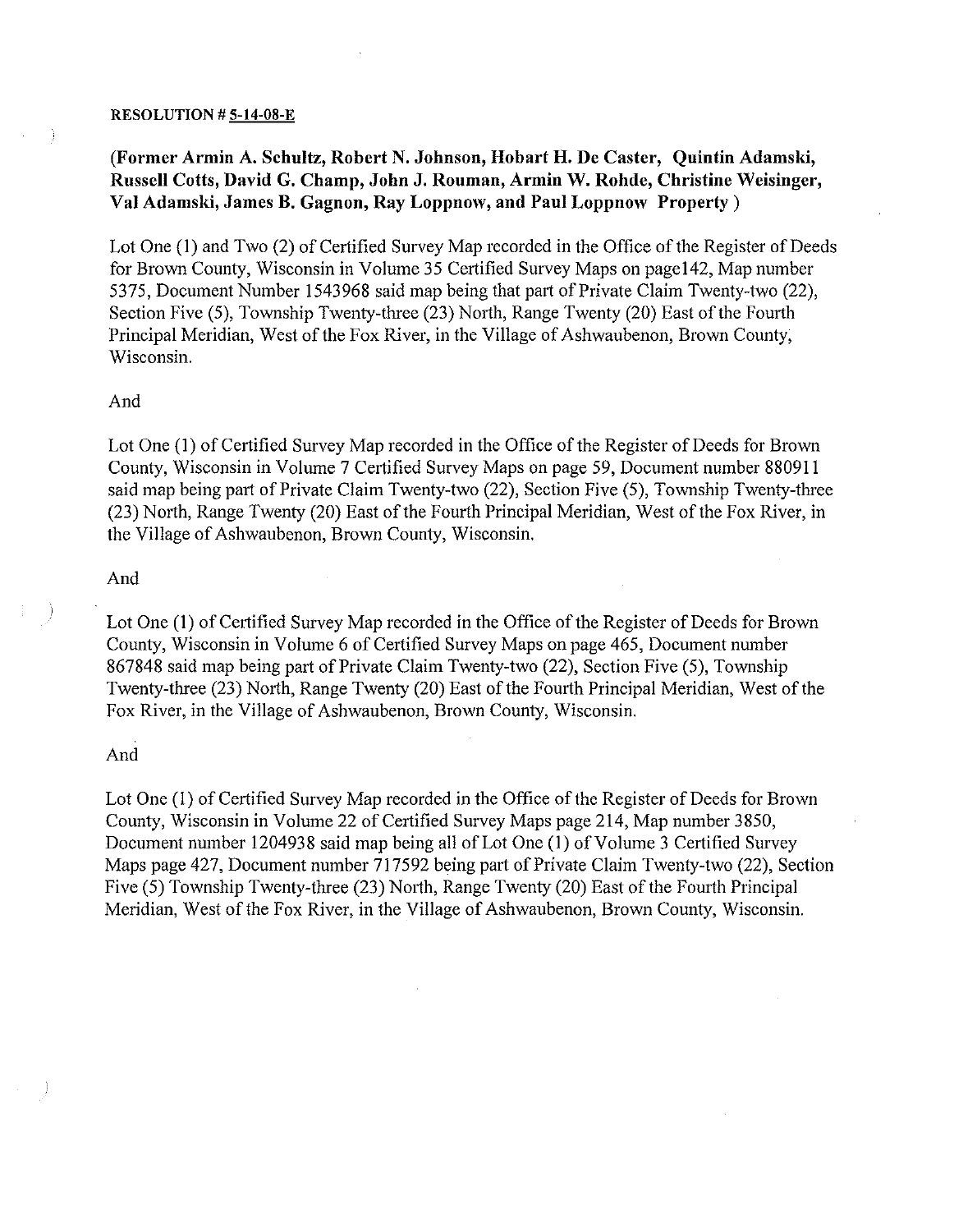#### **RESOLUTION** # 5-14-08-E

## **(Former Armin A. Schultz, Robert N. Johnson, Hobart H. De Caster, Quintin Adamski, Russell Cotts, David G. Champ, John J. Rouman, Armin W. Rohde, Christine Weisinger, Val Adamski, James B. Gagnon, Ray Loppnow, and Paul Loppnow Property)**

Lot One (1) and Two (2) of Certified Survey Map recorded in the Office of the Register of Deeds for Brown County, Wisconsin in Volume 35 Certified Survey Maps on pagel42, Map number 5375, Document Number 1543968 said map being that part of Private Claim Twenty-two (22), Section Five (5), Township Twenty-three (23) North, Range Twenty (20) East of the Fourth Principal Meridian, West of the Fox River, in the Village of Ashwaubenon, Brown County, Wisconsin.

#### And

Lot One (1) of Certified Survey Map recorded in the Office of the Register of Deeds for Brown County, Wisconsin in Volume 7 Certified Survey Maps on page 59, Document number 880911 said map being part of Private Claim Twenty-two (22), Section Five (5), Township Twenty-three  $(23)$  North, Range Twenty (20) East of the Fourth Principal Meridian, West of the Fox River, in the Village of Ashwaubenon, Brown County, Wisconsin.

#### And

Lot One (1) of Certified Survey Map recorded in the Office of the Register of Deeds for Brown County, Wisconsin in Volume 6 of Certified Survey Maps on page 465, Document number 867848 said map being part of Private Claim Twenty-two (22), Section Five (5), Township Twenty-three (23) North, Range Twenty (20) East of the Fourth Principal Meridian, West of the Fox River, in the Village of Ashwaubenon, Brown County, Wisconsin.

#### And

Lot One (1) of Certified Survey Map recorded in the Office of the Register of Deeds for Brown County, Wisconsin in Volume 22 of Certified Survey Maps page 214, Map number 3850, Document number 1204938 said map being all of Lot One (1) of Volume 3 Certified Survey Maps page 427, Document number  $\frac{717592}{2}$  being part of Private Claim Twenty-two (22), Section Five (5) Township Twenty-three (23) North, Range Twenty (20) East of the Fourth Principal Meridian, West of the Fox River, in the Village of Ashwaubenon, Brown County, Wisconsin.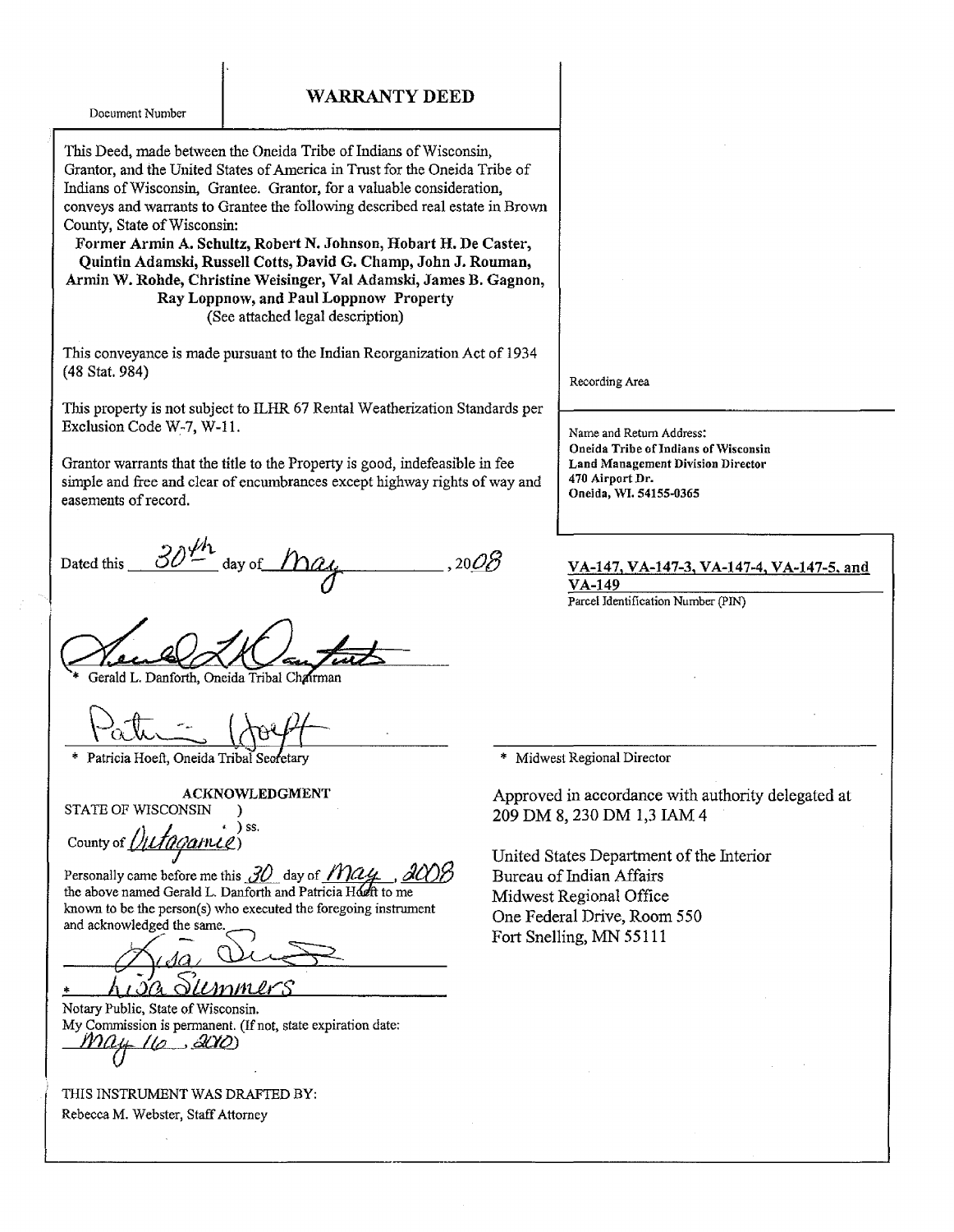Document Number

#### WARRANTY DEED

This Deed, made between the Oneida Tribe of Indians of Wisconsin, Grantor, and the United States of America in Trust for the Oneida Tribe of Indians ofWisconsin, Grantee. Grantor, for a valuable consideration, conveys and warrants to Grantee the following described real estate in Brown County, State of Wisconsin:

Former Armin A. Schultz, Robert N. Johnson, Hobart H. De Caster, Quintin Adamski, Russell Cotts, David G. Champ, John J. Rouman, Armin W. Rohde, Christine Weisinger, Val Adamski, James B. Gagnon, Ray Loppnow, and Paul Loppnow Property (See attached legal description)

This conveyance is made pursuant to the Indian Reorganization Act of 1934 (48 Stat. 984)

This property is not subject to ILHR 67 Rental Weatherization Standards per Exclusion Code W-7, W-ll.

Grantor warrants that the title to the Property is good, indefeasible in fee simple and free and clear of encumbrances except highway rights of way and easements of record.

 $\sim$  after Dated this  $\frac{S\mathcal{O}}{S}$  day of  $\frac{M\mathcal{O}}{S}$  , 20 $\mathcal{O}\mathcal{B}$ 

Gerald L. Danforth, Oneida Tribal Chairman

\* Patricia Hoeft, Oneida Tribal Secretary

ACKNOWLEDGMENT

STATE OF WISCONSIN )

ounty of *()utagamie*) ss.

Personally came before me this  $\partial O$  day of  $M\alpha$ the above named Gerald L. Danforth and Patricia Horn to me known to be the person(s) who executed the foregoing instrument and acknowledged the same.

*\_---,:!<drJ* / <sup>H</sup> ~, \* /1 <sup>J</sup> JCl CiLtAvI1'L/lf"S

Notary Public, State of Wisconsin. My Commission is permanent. (If not, state expiration date:<br> $M\lambda_4 + I(\sigma_3, \Delta X\Delta)$ 

THIS INSTRUMENT WAS DRAFTED BY: Rebecca M. Webster, StaffAttorney

Recording Area

Name and Return Address: Oneida Tribe of Indians of Wisconsin Land Management Division Director 470 Airport Dr. Oneida, WI. 54155-0365

VA-147, VA-147-3, VA-147-4, VA-147-5, and VA-149

Parcel Identification Number (PIN)

\* Midwest Regional Director

Approved in accordance with authority delegated at 209 DM 8, 230 DM 1,3 lAM 4

United States Department of the Interior Bureau of Indian Affairs Midwest Regional Office One Federal Drive, Room 550 Fort Snelling, MN 55111